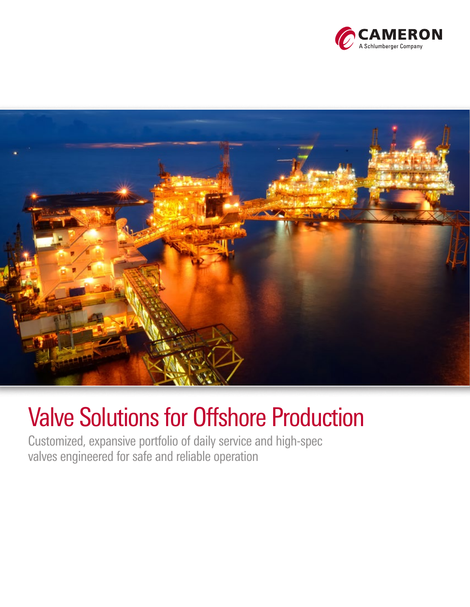



### Valve Solutions for Offshore Production

Customized, expansive portfolio of daily service and high-spec valves engineered for safe and reliable operation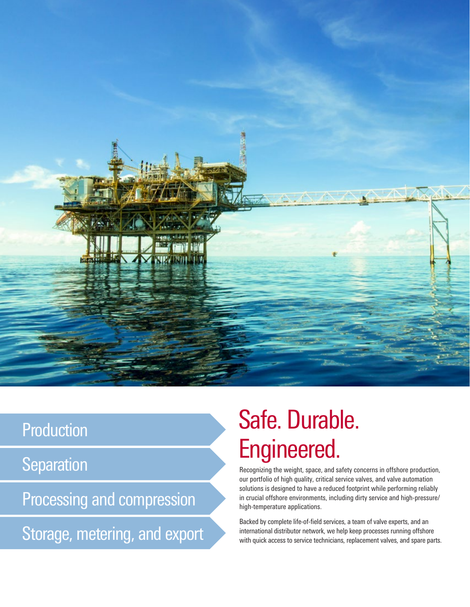

### Production

**Separation** 

Processing and compression

Storage, metering, and export

# Safe. Durable. Engineered.

Recognizing the weight, space, and safety concerns in offshore production, our portfolio of high quality, critical service valves, and valve automation solutions is designed to have a reduced footprint while performing reliably in crucial offshore environments, including dirty service and high-pressure/ high-temperature applications.

Backed by complete life-of-field services, a team of valve experts, and an international distributor network, we help keep processes running offshore with quick access to service technicians, replacement valves, and spare parts.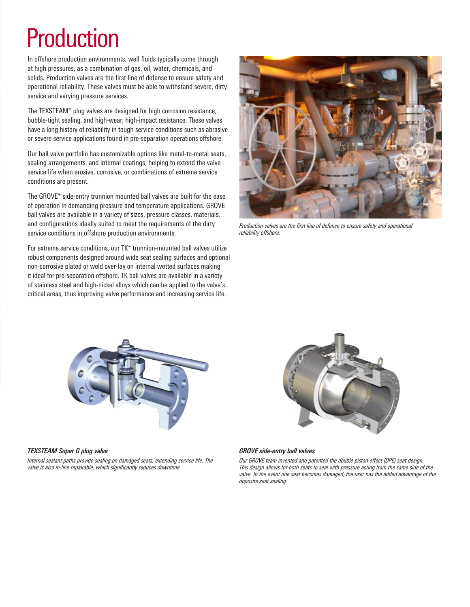# Production

In offshore production environments, well fluids typically come through at high pressures, as a combination of gas, oil, water, chemicals, and solids. Production valves are the first line of defense to ensure safety and operational reliability. These valves must be able to withstand severe, dirty service and varying pressure services.

The TEXSTEAM\* plug valves are designed for high corrosion resistance, bubble-tight sealing, and high-wear, high-impact resistance. These valves have a long history of reliability in tough service conditions such as abrasive or severe service applications found in pre-separation operations offshore.

Our ball valve portfolio has customizable options like metal-to-metal seats, sealing arrangements, and internal coatings, helping to extend the valve service life when erosive, corrosive, or combinations of extreme service conditions are present.

The GROVE\* side-entry trunnion mounted ball valves are built for the ease of operation in demanding pressure and temperature applications. GROVE ball valves are available in a variety of sizes, pressure classes, materials, and configurations ideally suited to meet the requirements of the dirty service conditions in offshore production environments.

For extreme service conditions, our TK\* trunnion-mounted ball valves utilize robust components designed around wide seat sealing surfaces and optional non-corrosive plated or weld over-lay on internal wetted surfaces making it ideal for pre-separation offshore. TK ball valves are available in a variety of stainless steel and high-nickel alloys which can be applied to the valve's critical areas, thus improving valve performance and increasing service life.



*Production valves are the first line of defense to ensure safety and operational reliability offshore.* 



#### *TEXSTEAM Super G plug valve*

*Internal sealant paths provide sealing on damaged seats, extending service life. The valve is also in-line repairable, which significantly reduces downtime.* 



#### *GROVE side-entry ball valves*

*Our GROVE team invented and patented the double piston effect (DPE) seat design. This design allows for both seats to seal with pressure acting from the same side of the valve. In the event one seat becomes damaged, the user has the added advantage of the opposite seat sealing.*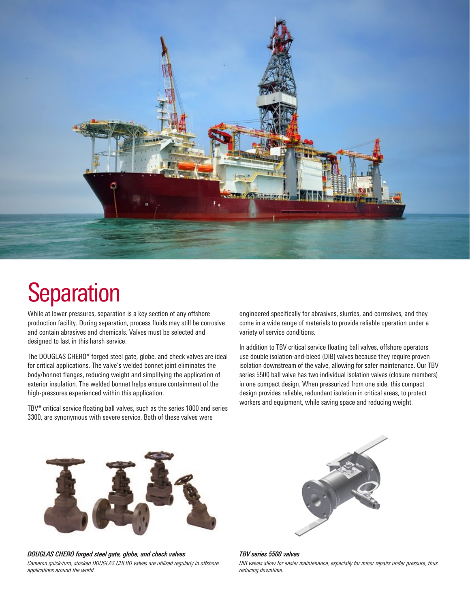

### **Separation**

While at lower pressures, separation is a key section of any offshore production facility. During separation, process fluids may still be corrosive and contain abrasives and chemicals. Valves must be selected and designed to last in this harsh service.

The DOUGLAS CHERO\* forged steel gate, globe, and check valves are ideal for critical applications. The valve's welded bonnet joint eliminates the body/bonnet flanges, reducing weight and simplifying the application of exterior insulation. The welded bonnet helps ensure containment of the high-pressures experienced within this application.

TBV\* critical service floating ball valves, such as the series 1800 and series 3300, are synonymous with severe service. Both of these valves were

engineered specifically for abrasives, slurries, and corrosives, and they come in a wide range of materials to provide reliable operation under a variety of service conditions.

In addition to TBV critical service floating ball valves, offshore operators use double isolation-and-bleed (DIB) valves because they require proven isolation downstream of the valve, allowing for safer maintenance. Our TBV series 5500 ball valve has two individual isolation valves (closure members) in one compact design. When pressurized from one side, this compact design provides reliable, redundant isolation in critical areas, to protect workers and equipment, while saving space and reducing weight.



*DOUGLAS CHERO forged steel gate, globe, and check valves Cameron quick-turn, stocked DOUGLAS CHERO valves are utilized regularly in offshore applications around the world.*



*TBV series 5500 valves DIB valves allow for easier maintenance, especially for minor repairs under pressure, thus reducing downtime.*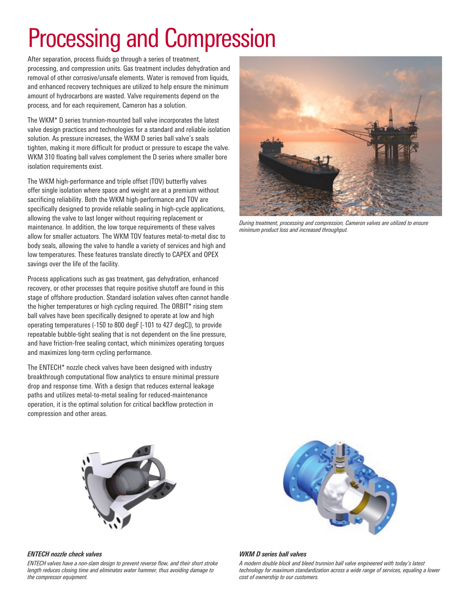# Processing and Compression

After separation, process fluids go through a series of treatment, processing, and compression units. Gas treatment includes dehydration and removal of other corrosive/unsafe elements. Water is removed from liquids, and enhanced recovery techniques are utilized to help ensure the minimum amount of hydrocarbons are wasted. Valve requirements depend on the process, and for each requirement, Cameron has a solution.

The WKM\* D series trunnion-mounted ball valve incorporates the latest valve design practices and technologies for a standard and reliable isolation solution. As pressure increases, the WKM D series ball valve's seals tighten, making it more difficult for product or pressure to escape the valve. WKM 310 floating ball valves complement the D series where smaller bore isolation requirements exist.

The WKM high-performance and triple offset (TOV) butterfly valves offer single isolation where space and weight are at a premium without sacrificing reliability. Both the WKM high-performance and TOV are specifically designed to provide reliable sealing in high-cycle applications, allowing the valve to last longer without requiring replacement or maintenance. In addition, the low torque requirements of these valves allow for smaller actuators. The WKM TOV features metal-to-metal disc to body seals, allowing the valve to handle a variety of services and high and low temperatures. These features translate directly to CAPEX and OPEX savings over the life of the facility.

Process applications such as gas treatment, gas dehydration, enhanced recovery, or other processes that require positive shutoff are found in this stage of offshore production. Standard isolation valves often cannot handle the higher temperatures or high cycling required. The ORBIT\* rising stem ball valves have been specifically designed to operate at low and high operating temperatures (-150 to 800 degF [-101 to 427 degC]), to provide repeatable bubble-tight sealing that is not dependent on the line pressure, and have friction-free sealing contact, which minimizes operating torques and maximizes long-term cycling performance.

The ENTECH\* nozzle check valves have been designed with industry breakthrough computational flow analytics to ensure minimal pressure drop and response time. With a design that reduces external leakage paths and utilizes metal-to-metal sealing for reduced-maintenance operation, it is the optimal solution for critical backflow protection in compression and other areas.



*During treatment, processing and compression, Cameron valves are utilized to ensure minimum product loss and increased throughput.* 





#### *ENTECH nozzle check valves*

*ENTECH valves have a non-slam design to prevent reverse flow, and their short stroke length reduces closing time and eliminates water hammer, thus avoiding damage to the compressor equipment.*

#### *WKM D series ball valves*

*A modern double block and bleed trunnion ball valve engineered with today's latest technology for maximum standardization across a wide range of services, equaling a lower cost of ownership to our customers.*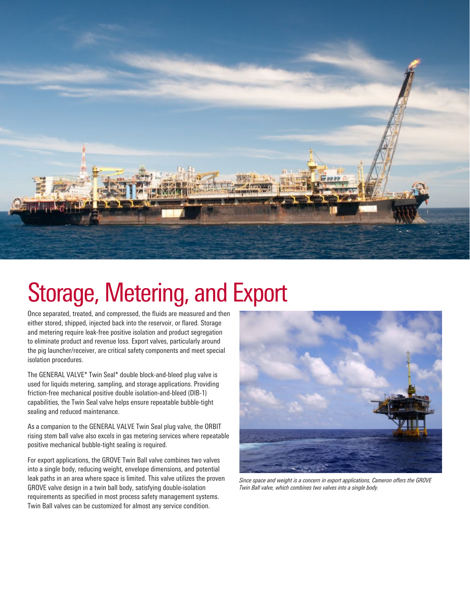

### Storage, Metering, and Export

Once separated, treated, and compressed, the fluids are measured and then either stored, shipped, injected back into the reservoir, or flared. Storage and metering require leak-free positive isolation and product segregation to eliminate product and revenue loss. Export valves, particularly around the pig launcher/receiver, are critical safety components and meet special isolation procedures.

The GENERAL VALVE\* Twin Seal\* double block-and-bleed plug valve is used for liquids metering, sampling, and storage applications. Providing friction-free mechanical positive double isolation-and-bleed (DIB-1) capabilities, the Twin Seal valve helps ensure repeatable bubble-tight sealing and reduced maintenance.

As a companion to the GENERAL VALVE Twin Seal plug valve, the ORBIT rising stem ball valve also excels in gas metering services where repeatable positive mechanical bubble-tight sealing is required.

For export applications, the GROVE Twin Ball valve combines two valves into a single body, reducing weight, envelope dimensions, and potential leak paths in an area where space is limited. This valve utilizes the proven GROVE valve design in a twin ball body, satisfying double-isolation requirements as specified in most process safety management systems. Twin Ball valves can be customized for almost any service condition.



*Since space and weight is a concern in export applications, Cameron offers the GROVE Twin Ball valve, which combines two valves into a single body.*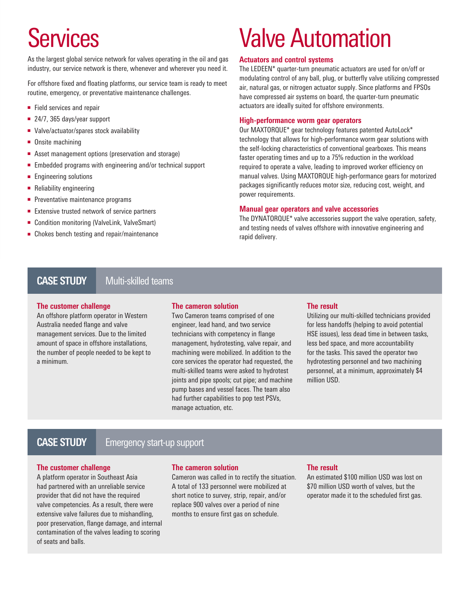As the largest global service network for valves operating in the oil and gas industry, our service network is there, whenever and wherever you need it.

For offshore fixed and floating platforms, our service team is ready to meet routine, emergency, or preventative maintenance challenges.

- Field services and repair
- 24/7, 365 days/year support
- Valve/actuator/spares stock availability
- Onsite machining
- Asset management options (preservation and storage)
- Embedded programs with engineering and/or technical support
- Engineering solutions
- Reliability engineering
- Preventative maintenance programs
- Extensive trusted network of service partners
- Condition monitoring (ValveLink, ValveSmart)
- Chokes bench testing and repair/maintenance

### Services Valve Automation

#### **Actuators and control systems**

The LEDEEN\* quarter-turn pneumatic actuators are used for on/off or modulating control of any ball, plug, or butterfly valve utilizing compressed air, natural gas, or nitrogen actuator supply. Since platforms and FPSOs have compressed air systems on board, the quarter-turn pneumatic actuators are ideally suited for offshore environments.

#### **High-performance worm gear operators**

Our MAXTORQUE\* gear technology features patented AutoLock\* technology that allows for high-performance worm gear solutions with the self-locking characteristics of conventional gearboxes. This means faster operating times and up to a 75% reduction in the workload required to operate a valve, leading to improved worker efficiency on manual valves. Using MAXTORQUE high-performance gears for motorized packages significantly reduces motor size, reducing cost, weight, and power requirements.

#### **Manual gear operators and valve accessories**

The DYNATORQUE\* valve accessories support the valve operation, safety, and testing needs of valves offshore with innovative engineering and rapid delivery.

#### Multi-skilled teams **CASE STUDY**

#### **The customer challenge**

An offshore platform operator in Western Australia needed flange and valve management services. Due to the limited amount of space in offshore installations, the number of people needed to be kept to a minimum.

#### **The cameron solution**

Two Cameron teams comprised of one engineer, lead hand, and two service technicians with competency in flange management, hydrotesting, valve repair, and machining were mobilized. In addition to the core services the operator had requested, the multi-skilled teams were asked to hydrotest joints and pipe spools; cut pipe; and machine pump bases and vessel faces. The team also had further capabilities to pop test PSVs, manage actuation, etc.

#### **The result**

Utilizing our multi-skilled technicians provided for less handoffs (helping to avoid potential HSE issues), less dead time in between tasks, less bed space, and more accountability for the tasks. This saved the operator two hydrotesting personnel and two machining personnel, at a minimum, approximately \$4 million USD.

### **CASE STUDY**

#### Emergency start-up support

#### **The customer challenge**

A platform operator in Southeast Asia had partnered with an unreliable service provider that did not have the required valve competencies. As a result, there were extensive valve failures due to mishandling, poor preservation, flange damage, and internal contamination of the valves leading to scoring of seats and balls.

#### **The cameron solution**

Cameron was called in to rectify the situation. A total of 133 personnel were mobilized at short notice to survey, strip, repair, and/or replace 900 valves over a period of nine months to ensure first gas on schedule.

#### **The result**

An estimated \$100 million USD was lost on \$70 million USD worth of valves, but the operator made it to the scheduled first gas.